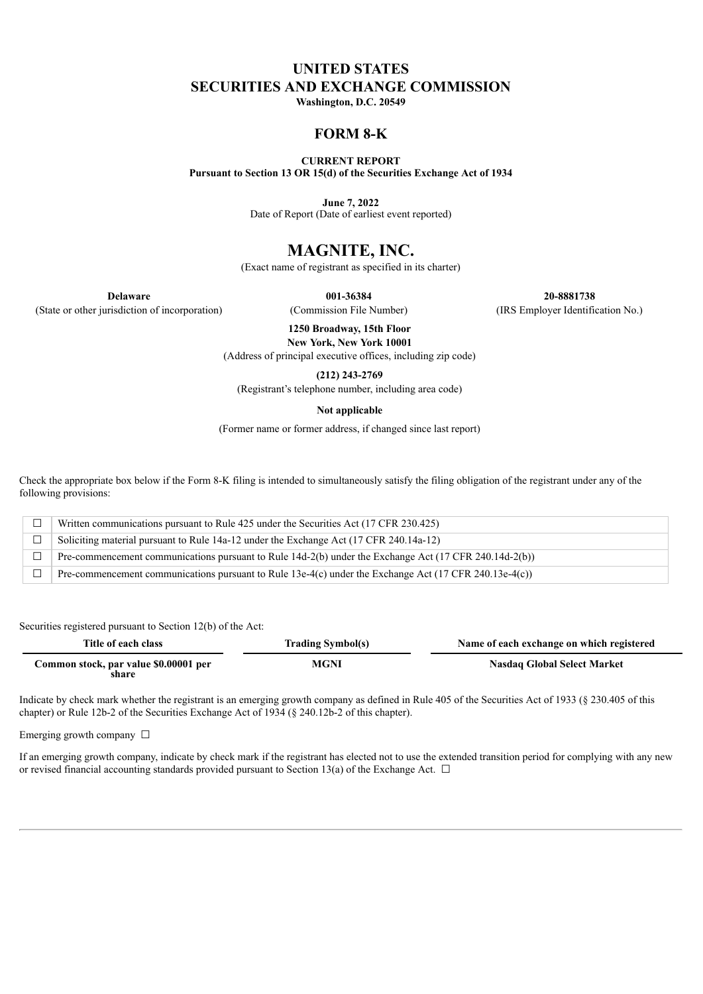# **UNITED STATES SECURITIES AND EXCHANGE COMMISSION**

**Washington, D.C. 20549**

## **FORM 8-K**

**CURRENT REPORT Pursuant to Section 13 OR 15(d) of the Securities Exchange Act of 1934**

**June 7, 2022**

Date of Report (Date of earliest event reported)

# **MAGNITE, INC.**

(Exact name of registrant as specified in its charter)

**Delaware 001-36384 20-8881738** (State or other jurisdiction of incorporation) (Commission File Number) (IRS Employer Identification No.)

> **1250 Broadway, 15th Floor New York, New York 10001**

(Address of principal executive offices, including zip code)

**(212) 243-2769**

(Registrant's telephone number, including area code)

**Not applicable**

(Former name or former address, if changed since last report)

Check the appropriate box below if the Form 8-K filing is intended to simultaneously satisfy the filing obligation of the registrant under any of the following provisions:

|        | Written communications pursuant to Rule 425 under the Securities Act (17 CFR 230.425)                  |
|--------|--------------------------------------------------------------------------------------------------------|
| $\Box$ | Soliciting material pursuant to Rule 14a-12 under the Exchange Act (17 CFR 240.14a-12)                 |
|        | Pre-commencement communications pursuant to Rule 14d-2(b) under the Exchange Act (17 CFR 240.14d-2(b)) |
|        | Pre-commencement communications pursuant to Rule 13e-4(c) under the Exchange Act (17 CFR 240.13e-4(c)) |

Securities registered pursuant to Section 12(b) of the Act:

| Title of each class                            | <b>Trading Symbol(s)</b> | Name of each exchange on which registered |  |
|------------------------------------------------|--------------------------|-------------------------------------------|--|
| Common stock, par value \$0.00001 per<br>share | MGNI                     | <b>Nasdaq Global Select Market</b>        |  |

Indicate by check mark whether the registrant is an emerging growth company as defined in Rule 405 of the Securities Act of 1933 (§ 230.405 of this chapter) or Rule 12b-2 of the Securities Exchange Act of 1934 (§ 240.12b-2 of this chapter).

Emerging growth company  $\Box$ 

If an emerging growth company, indicate by check mark if the registrant has elected not to use the extended transition period for complying with any new or revised financial accounting standards provided pursuant to Section 13(a) of the Exchange Act.  $\Box$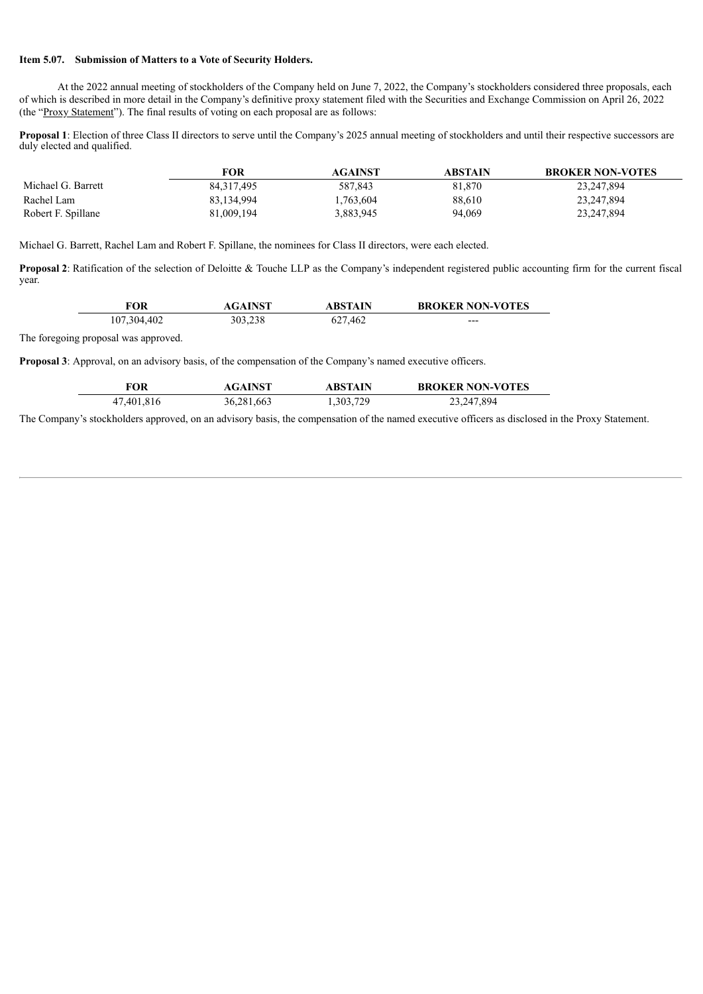#### **Item 5.07. Submission of Matters to a Vote of Security Holders.**

At the 2022 annual meeting of stockholders of the Company held on June 7, 2022, the Company's stockholders considered three proposals, each of which is described in more detail in the Company's definitive proxy statement filed with the Securities and Exchange Commission on April 26, 2022 (the "Proxy Statement"). The final results of voting on each proposal are as follows:

**Proposal 1**: Election of three Class II directors to serve until the Company's 2025 annual meeting of stockholders and until their respective successors are duly elected and qualified.

|                    | FOR        | AGAINST   | <b>ABSTAIN</b> | <b>BROKER NON-VOTES</b> |
|--------------------|------------|-----------|----------------|-------------------------|
| Michael G. Barrett | 84.317.495 | 587.843   | 81,870         | 23,247,894              |
| Rachel Lam         | 83,134,994 | 1,763,604 | 88.610         | 23,247,894              |
| Robert F. Spillane | 81,009,194 | 3,883,945 | 94,069         | 23,247,894              |

Michael G. Barrett, Rachel Lam and Robert F. Spillane, the nominees for Class II directors, were each elected.

**Proposal 2**: Ratification of the selection of Deloitte & Touche LLP as the Company's independent registered public accounting firm for the current fiscal year.

| FOR         | <b>AGAINST</b> | ABSTAIN | <b>BROKER NON-VOTES</b> |
|-------------|----------------|---------|-------------------------|
| 107,304,402 | 303,238        | 627,462 | $---$                   |

The foregoing proposal was approved.

 $\overline{\phantom{0}}$ 

**Proposal 3**: Approval, on an advisory basis, of the compensation of the Company's named executive officers.

| FOR        | <b>AGAINST</b> | ABSTAIN   | <b>BROKER NON-VOTES</b> |
|------------|----------------|-----------|-------------------------|
| 47,401,816 | 36,281,663     | 1,303,729 | 23,247,894              |

The Company's stockholders approved, on an advisory basis, the compensation of the named executive officers as disclosed in the Proxy Statement.